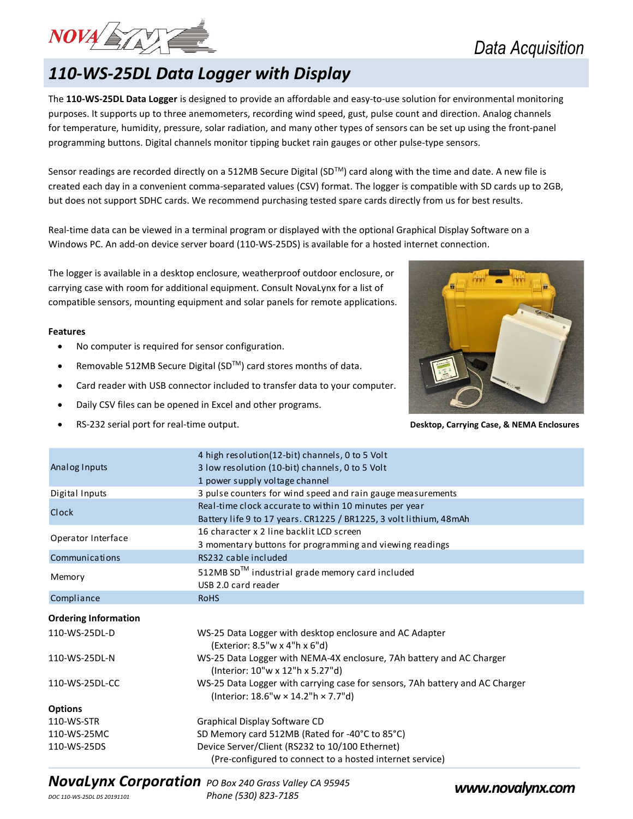

### 110-WS-25DL Data Logger with Display

The 110-WS-25DL Data Logger is designed to provide an affordable and easy-to-use solution for environmental monitoring purposes. It supports up to three anemometers, recording wind speed, gust, pulse count and direction. Analog channels for temperature, humidity, pressure, solar radiation, and many other types of sensors can be set up using the front-panel programming buttons. Digital channels monitor tipping bucket rain gauges or other pulse-type sensors.

Sensor readings are recorded directly on a 512MB Secure Digital (SD™) card along with the time and date. A new file is created each day in a convenient comma-separated values (CSV) format. The logger is compatible with SD cards up to 2GB, but does not support SDHC cards. We recommend purchasing tested spare cards directly from us for best results.

Real-time data can be viewed in a terminal program or displayed with the optional Graphical Display Software on a Windows PC. An add-on device server board (110-WS-25DS) is available for a hosted internet connection.

#### Features

- No computer is required for sensor configuration.
- Removable 512MB Secure Digital (SD™) card stores months of data.
- Card reader with USB connector included to transfer data to your computer.
- Daily CSV files can be opened in Excel and other programs.
- RS-232 serial port for real-time output. Desktop, Carrying Case, & NEMA Enclosures



|                                                                                                                                                             | Windows PC. An add-on device server board (110-WS-25DS) is available for a hosted internet connection.                                                                                                                                                     |  |
|-------------------------------------------------------------------------------------------------------------------------------------------------------------|------------------------------------------------------------------------------------------------------------------------------------------------------------------------------------------------------------------------------------------------------------|--|
|                                                                                                                                                             | The logger is available in a desktop enclosure, weatherproof outdoor enclosure, or<br>carrying case with room for additional equipment. Consult NovaLynx for a list of<br>compatible sensors, mounting equipment and solar panels for remote applications. |  |
| <b>Features</b>                                                                                                                                             |                                                                                                                                                                                                                                                            |  |
|                                                                                                                                                             | No computer is required for sensor configuration.                                                                                                                                                                                                          |  |
| Removable 512MB Secure Digital (SD™) card stores months of data.<br>$\bullet$<br>Card reader with USB connector included to transfer data to your computer. |                                                                                                                                                                                                                                                            |  |
|                                                                                                                                                             |                                                                                                                                                                                                                                                            |  |
| RS-232 serial port for real-time output.                                                                                                                    |                                                                                                                                                                                                                                                            |  |
| Analog Inputs                                                                                                                                               | 4 high resolution(12-bit) channels, 0 to 5 Volt<br>3 low resolution (10-bit) channels, 0 to 5 Volt<br>1 power supply voltage channel                                                                                                                       |  |
| Digital Inputs                                                                                                                                              | 3 pulse counters for wind speed and rain gauge measurements                                                                                                                                                                                                |  |
| Clock                                                                                                                                                       | Real-time clock accurate to within 10 minutes per year<br>Battery life 9 to 17 years. CR1225 / BR1225, 3 volt lithium, 48mAh                                                                                                                               |  |
| Operator Interface                                                                                                                                          | 16 character x 2 line backlit LCD screen<br>3 momentary buttons for programming and viewing readings                                                                                                                                                       |  |
| Communications                                                                                                                                              | RS232 cable included                                                                                                                                                                                                                                       |  |
| Memory                                                                                                                                                      | 512MB SD <sup>™</sup> industrial grade memory card included<br>USB 2.0 card reader                                                                                                                                                                         |  |
| Compliance                                                                                                                                                  | <b>RoHS</b>                                                                                                                                                                                                                                                |  |
| <b>Ordering Information</b>                                                                                                                                 |                                                                                                                                                                                                                                                            |  |
| 110-WS-25DL-D                                                                                                                                               | WS-25 Data Logger with desktop enclosure and AC Adapter<br>(Exterior: 8.5"w x 4"h x 6"d)                                                                                                                                                                   |  |
| 110-WS-25DL-N                                                                                                                                               | WS-25 Data Logger with NEMA-4X enclosure, 7Ah battery and AC Charger<br>(Interior: 10"w x 12"h x 5.27"d)                                                                                                                                                   |  |
| 110-WS-25DL-CC                                                                                                                                              | WS-25 Data Logger with carrying case for sensors, 7Ah battery and AC Charger<br>(Interior: 18.6"w × 14.2"h × 7.7"d)                                                                                                                                        |  |
| <b>Options</b>                                                                                                                                              |                                                                                                                                                                                                                                                            |  |
| 110-WS-STR                                                                                                                                                  | Graphical Display Software CD                                                                                                                                                                                                                              |  |
| 110-WS-25MC                                                                                                                                                 | SD Memory card 512MB (Rated for -40°C to 85°C)                                                                                                                                                                                                             |  |
| 110-WS-25DS                                                                                                                                                 | Device Server/Client (RS232 to 10/100 Ethernet)<br>(Pre-configured to connect to a hosted internet service)                                                                                                                                                |  |

# NovaLynx Corporation PO Box 240 Grass Valley CA 95945<br>
Phone (530) 823-7185<br>
Phone (530) 823-7185